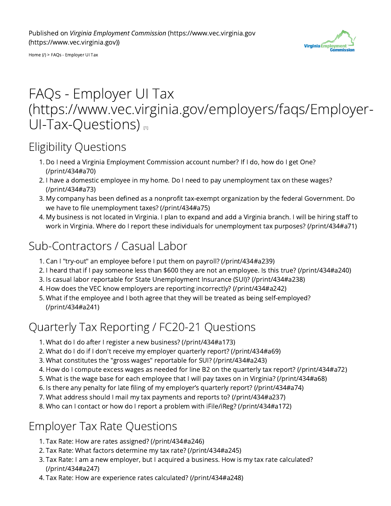

[Home](https://www.vec.virginia.gov/) (/) > FAQs - Employer UI Tax

# FAQs - Employer UI Tax [\(https://www.vec.virginia.gov/employers/faqs/Employer-](https://www.vec.virginia.gov/employers/faqs/Employer-UI-Tax-Questions) $UI-Tax-Questions)$

# Eligibility Questions

- 1. Do I need a Virginia Employment Commission account number? If I do, how do I get One? [\(/print/434#a70\)](https://www.vec.virginia.gov/print/434#a70)
- 2. I have a domestic employee in my home. Do I need to pay unemployment tax on these wages? [\(/print/434#a73\)](https://www.vec.virginia.gov/print/434#a73)
- 3. My company has been defined as a nonprofit tax-exempt organization by the federal Government. Do we have to file unemployment taxes? [\(/print/434#a75\)](https://www.vec.virginia.gov/print/434#a75)
- 4. My business is not located in Virginia. I plan to expand and add a Virginia branch. I will be hiring staff to work in Virginia. Where do I report these individuals for unemployment tax purposes? [\(/print/434#a71\)](https://www.vec.virginia.gov/print/434#a71)

# Sub-Contractors / Casual Labor

- 1. Can I "try-out" an employee before I put them on payroll? [\(/print/434#a239\)](https://www.vec.virginia.gov/print/434#a239)
- 2. I heard that if I pay someone less than \$600 they are not an employee. Is this true? [\(/print/434#a240\)](https://www.vec.virginia.gov/print/434#a240)
- 3. Is casual labor reportable for State Unemployment Insurance (SUI)? [\(/print/434#a238\)](https://www.vec.virginia.gov/print/434#a238)
- 4. How does the VEC know employers are reporting incorrectly? [\(/print/434#a242\)](https://www.vec.virginia.gov/print/434#a242)
- 5. What if the employee and I both agree that they will be treated as being self-employed? [\(/print/434#a241\)](https://www.vec.virginia.gov/print/434#a241)

# Quarterly Tax Reporting / FC20-21 Questions

- 1. What do I do after I register a new business? [\(/print/434#a173\)](https://www.vec.virginia.gov/print/434#a173)
- 2. What do I do if I don't receive my employer quarterly report? [\(/print/434#a69\)](https://www.vec.virginia.gov/print/434#a69)
- 3. What constitutes the "gross wages" reportable for SUI? [\(/print/434#a243\)](https://www.vec.virginia.gov/print/434#a243)
- 4. How do I compute excess wages as needed for line B2 on the quarterly tax report? [\(/print/434#a72\)](https://www.vec.virginia.gov/print/434#a72)
- 5. What is the wage base for each employee that I will pay taxes on in Virginia? [\(/print/434#a68\)](https://www.vec.virginia.gov/print/434#a68)
- 6. Is there any penalty for late filing of my employer's quarterly report? [\(/print/434#a74\)](https://www.vec.virginia.gov/print/434#a74)
- 7. What address should I mail my tax payments and reports to? [\(/print/434#a237\)](https://www.vec.virginia.gov/print/434#a237)
- 8. Who can I contact or how do I report a problem with iFile/iReg? [\(/print/434#a172\)](https://www.vec.virginia.gov/print/434#a172)

# Employer Tax Rate Questions

- 1. Tax Rate: How are rates assigned? [\(/print/434#a246\)](https://www.vec.virginia.gov/print/434#a246)
- 2. Tax Rate: What factors determine my tax rate? [\(/print/434#a245\)](https://www.vec.virginia.gov/print/434#a245)
- 3. Tax Rate: I am a new employer, but I acquired a business. How is my tax rate calculated? [\(/print/434#a247\)](https://www.vec.virginia.gov/print/434#a247)
- 4. Tax Rate: How are experience rates calculated? [\(/print/434#a248\)](https://www.vec.virginia.gov/print/434#a248)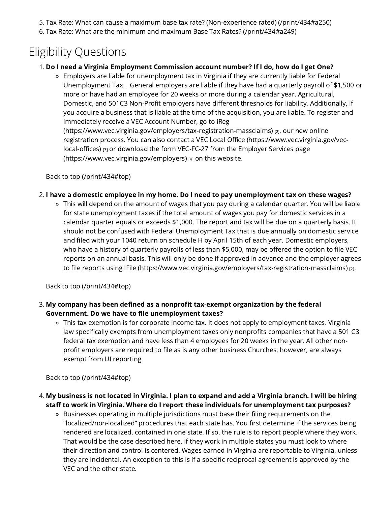- 5. Tax Rate: What can cause a maximum base tax rate? (Non-experience rated) [\(/print/434#a250\)](https://www.vec.virginia.gov/print/434#a250)
- 6. Tax Rate: What are the minimum and maximum Base Tax Rates? [\(/print/434#a249\)](https://www.vec.virginia.gov/print/434#a249)

# Eligibility Questions

# 1. Do I need a Virginia Employment Commission account number? If I do, how do I get One?

Employers are liable for unemployment tax in Virginia if they are currently liable for Federal Unemployment Tax. General employers are liable if they have had a quarterly payroll of \$1,500 or more or have had an employee for 20 weeks or more during a calendar year. Agricultural, Domestic, and 501C3 Non-Profit employers have different thresholds for liability. Additionally, if you acquire a business that is liable at the time of the acquisition, you are liable. To register and immediately receive a VEC Account Number, go to iReg [\(https://www.vec.virginia.gov/employers/tax-registration-massclaims\)](https://www.vec.virginia.gov/employers/tax-registration-massclaims) [2], our new online registration process. You can also contact a VEC Local Office [\(https://www.vec.virginia.gov/vec-](https://www.vec.virginia.gov/vec-local-offices)

local-offices) [3] or download the form VEC-FC-27 from the Employer Services page [\(https://www.vec.virginia.gov/employers\)](https://www.vec.virginia.gov/employers) [4] on this website.

Back to top [\(/print/434#top\)](https://www.vec.virginia.gov/print/434#top)

# 2. I have a domestic employee in my home. Do I need to pay unemployment tax on these wages?

This will depend on the amount of wages that you pay during a calendar quarter. You will be liable for state unemployment taxes if the total amount of wages you pay for domestic services in a calendar quarter equals or exceeds \$1,000. The report and tax will be due on a quarterly basis. It should not be confused with Federal Unemployment Tax that is due annually on domestic service and filed with your 1040 return on schedule H by April 15th of each year. Domestic employers, who have a history of quarterly payrolls of less than \$5,000, may be offered the option to file VEC reports on an annual basis. This will only be done if approved in advance and the employer agrees to file reports using IFile [\(https://www.vec.virginia.gov/employers/tax-registration-massclaims\)](https://www.vec.virginia.gov/employers/tax-registration-massclaims) [2].

Back to top [\(/print/434#top\)](https://www.vec.virginia.gov/print/434#top)

- 3. My company has been defined as a nonprofit tax-exempt organization by the federal Government. Do we have to file unemployment taxes?
	- This tax exemption is for corporate income tax. It does not apply to employment taxes. Virginia law specifically exempts from unemployment taxes only nonprofits companies that have a 501 C3 federal tax exemption and have less than 4 employees for 20 weeks in the year. All other nonprofit employers are required to file as is any other business Churches, however, are always exempt from UI reporting.

Back to top [\(/print/434#top\)](https://www.vec.virginia.gov/print/434#top)

- 4. My business is not located in Virginia. I plan to expand and add a Virginia branch. I will be hiring staff to work in Virginia. Where do I report these individuals for unemployment tax purposes?
	- Businesses operating in multiple jurisdictions must base their filing requirements on the "localized/non-localized" procedures that each state has. You first determine if the services being rendered are localized, contained in one state. If so, the rule is to report people where they work. That would be the case described here. If they work in multiple states you must look to where their direction and control is centered. Wages earned in Virginia are reportable to Virginia, unless they are incidental. An exception to this is if a specific reciprocal agreement is approved by the VEC and the other state.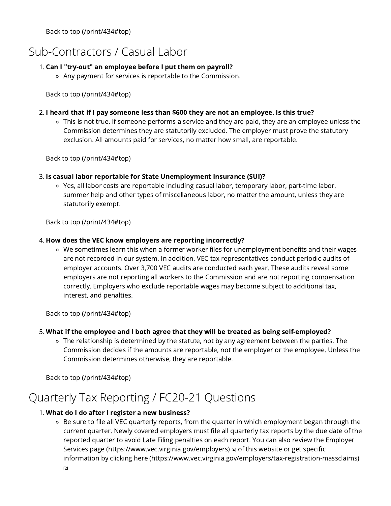Back to top [\(/print/434#top\)](https://www.vec.virginia.gov/print/434#top)

# Sub-Contractors / Casual Labor

# 1. Can I "try-out" an employee before I put them on payroll?

Any payment for services is reportable to the Commission.

Back to top [\(/print/434#top\)](https://www.vec.virginia.gov/print/434#top)

# 2. I heard that if I pay someone less than \$600 they are not an employee. Is this true?

This is not true. If someone performs a service and they are paid, they are an employee unless the Commission determines they are statutorily excluded. The employer must prove the statutory exclusion. All amounts paid for services, no matter how small, are reportable.

Back to top [\(/print/434#top\)](https://www.vec.virginia.gov/print/434#top)

# 3. Is casual labor reportable for State Unemployment Insurance (SUI)?

Yes, all labor costs are reportable including casual labor, temporary labor, part-time labor, summer help and other types of miscellaneous labor, no matter the amount, unless they are statutorily exempt.

Back to top [\(/print/434#top\)](https://www.vec.virginia.gov/print/434#top)

# 4. How does the VEC know employers are reporting incorrectly?

We sometimes learn this when a former worker files for unemployment benefits and their wages are not recorded in our system. In addition, VEC tax representatives conduct periodic audits of employer accounts. Over 3,700 VEC audits are conducted each year. These audits reveal some employers are not reporting all workers to the Commission and are not reporting compensation correctly. Employers who exclude reportable wages may become subject to additional tax, interest, and penalties.

Back to top [\(/print/434#top\)](https://www.vec.virginia.gov/print/434#top)

# 5. What if the employee and I both agree that they will be treated as being self-employed?

The relationship is determined by the statute, not by any agreement between the parties. The Commission decides if the amounts are reportable, not the employer or the employee. Unless the Commission determines otherwise, they are reportable.

Back to top [\(/print/434#top\)](https://www.vec.virginia.gov/print/434#top)

# Quarterly Tax Reporting / FC20-21 Questions

# 1. What do I do after I register a new business?

o Be sure to file all VEC quarterly reports, from the quarter in which employment began through the current quarter. Newly covered employers must file all quarterly tax reports by the due date of the reported quarter to avoid Late Filing penalties on each report. You can also review the Employer Services page [\(https://www.vec.virginia.gov/employers\)](https://www.vec.virginia.gov/employers) [4] of this website or get specific information by clicking here [\(https://www.vec.virginia.gov/employers/tax-registration-massclaims\)](https://www.vec.virginia.gov/employers/tax-registration-massclaims)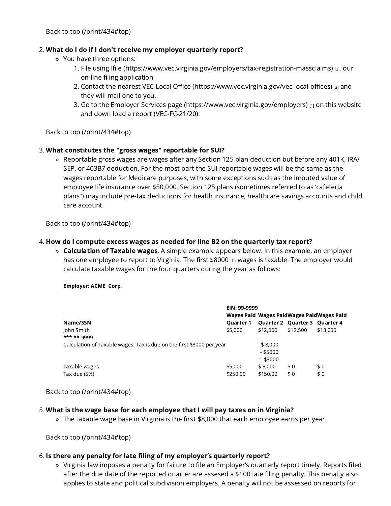### 2. What do I do if I don't receive my employer quarterly report?

- You have three options:
	- 1. File using Ifile [\(https://www.vec.virginia.gov/employers/tax-registration-massclaims\)](https://www.vec.virginia.gov/employers/tax-registration-massclaims) [2], our on-line filing application
	- 2. Contact the nearest VEC Local Office [\(https://www.vec.virginia.gov/vec-local-offices\)](https://www.vec.virginia.gov/vec-local-offices) [3] and they will mail one to you.
	- 3. Go to the Employer Services page [\(https://www.vec.virginia.gov/employers\)](https://www.vec.virginia.gov/employers) [4] on this website and down load a report (VEC-FC-21/20).

Back to top [\(/print/434#top\)](https://www.vec.virginia.gov/print/434#top)

# 3. What constitutes the "gross wages" reportable for SUI?

Reportable gross wages are wages after any Section 125 plan deduction but before any 401K, IRA/ SEP, or 403B7 deduction. For the most part the SUI reportable wages will be the same as the wages reportable for Medicare purposes, with some exceptions such as the imputed value of employee life insurance over \$50,000. Section 125 plans (sometimes referred to as 'cafeteria plans") may include pre-tax deductions for health insurance, healthcare savings accounts and child care account.

Back to top [\(/print/434#top\)](https://www.vec.virginia.gov/print/434#top)

#### 4. How do I compute excess wages as needed for line B2 on the quarterly tax report?

 $\circ$  **Calculation of Taxable wages.** A simple example appears below. In this example, an employer has one employee to report to Virginia. The first \$8000 in wages is taxable. The employer would calculate taxable wages for the four quarters during the year as follows:

Employer: ACME Corp.

|                                                                       | EIN: 99-9999<br>Wages Paid Wages PaidWages PaidWages Paid |            |                               |          |
|-----------------------------------------------------------------------|-----------------------------------------------------------|------------|-------------------------------|----------|
|                                                                       |                                                           |            |                               |          |
| Name/SSN                                                              | <b>Ouarter 1</b>                                          |            | Quarter 2 Quarter 3 Quarter 4 |          |
| John Smith<br>*** <sub>-</sub> ** <sub>-9999</sub>                    | \$5,000                                                   | \$12,000   | \$12,500                      | \$13,000 |
| Calculation of Taxable wages. Tax is due on the first \$8000 per year |                                                           | \$8,000    |                               |          |
|                                                                       |                                                           | $-$ \$5000 |                               |          |
|                                                                       |                                                           | $=$ \$3000 |                               |          |
| Taxable wages                                                         | \$5,000                                                   | \$3.000    | \$0                           | \$0      |
| Tax due (5%)                                                          | \$250.00                                                  | \$150.00   | \$0                           | \$0      |

Back to top [\(/print/434#top\)](https://www.vec.virginia.gov/print/434#top)

#### 5. What is the wage base for each employee that I will pay taxes on in Virginia?

The taxable wage base in Virginia is the first \$8,000 that each employee earns per year.

Back to top [\(/print/434#top\)](https://www.vec.virginia.gov/print/434#top)

#### 6. Is there any penalty for late filing of my employer's quarterly report?

Virginia law imposes a penalty for failure to file an Employer's quarterly report timely. Reports filed after the due date of the reported quarter are assesed a \$100 late filing penalty. This penalty also applies to state and political subdivision employers. A penalty will not be assessed on reports for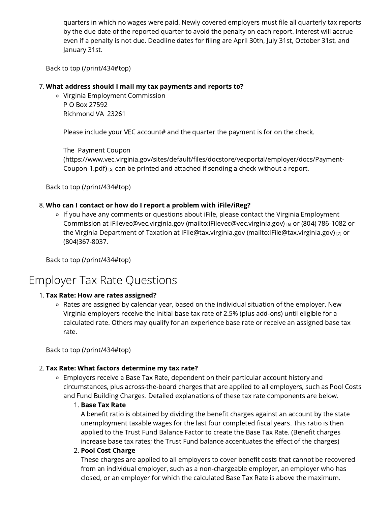quarters in which no wages were paid. Newly covered employers must file all quarterly tax reports by the due date of the reported quarter to avoid the penalty on each report. Interest will accrue even if a penalty is not due. Deadline dates for filing are April 30th, July 31st, October 31st, and January 31st.

Back to top [\(/print/434#top\)](https://www.vec.virginia.gov/print/434#top)

#### 7. What address should I mail my tax payments and reports to?

Virginia Employment Commission P O Box 27592 Richmond VA 23261

Please include your VEC account# and the quarter the payment is for on the check.

The Payment Coupon

[\(https://www.vec.virginia.gov/sites/default/files/docstore/vecportal/employer/docs/Payment-](https://www.vec.virginia.gov/sites/default/files/docstore/vecportal/employer/docs/Payment-Coupon-1.pdf)Coupon-1.pdf) [5] can be printed and attached if sending a check without a report.

Back to top [\(/print/434#top\)](https://www.vec.virginia.gov/print/434#top)

#### 8. Who can I contact or how do I report a problem with iFile/iReg?

If you have any comments or questions about iFile, please contact the Virginia Employment Commission at iFilevec@vec.virginia.gov [\(mailto:iFilevec@vec.virginia.gov\)](mailto:iFilevec@vec.virginia.gov) [6] or (804) 786-1082 or the Virginia Department of Taxation at IFile@tax.virginia.gov [\(mailto:IFile@tax.virginia.gov\)](mailto:IFile@tax.virginia.gov) [7] or (804)367-8037.

Back to top [\(/print/434#top\)](https://www.vec.virginia.gov/print/434#top)

# Employer Tax Rate Questions

#### 1. Tax Rate: How are rates assigned?

Rates are assigned by calendar year, based on the individual situation of the employer. New Virginia employers receive the initial base tax rate of 2.5% (plus add-ons) until eligible for a calculated rate. Others may qualify for an experience base rate or receive an assigned base tax rate.

Back to top [\(/print/434#top\)](https://www.vec.virginia.gov/print/434#top)

#### 2. Tax Rate: What factors determine my tax rate?

Employers receive a Base Tax Rate, dependent on their particular account history and circumstances, plus across-the-board charges that are applied to all employers, such as Pool Costs and Fund Building Charges. Detailed explanations of these tax rate components are below.

#### 1. Base Tax Rate

A benefit ratio is obtained by dividing the benefit charges against an account by the state unemployment taxable wages for the last four completed fiscal years. This ratio is then applied to the Trust Fund Balance Factor to create the Base Tax Rate. (Benefit charges increase base tax rates; the Trust Fund balance accentuates the effect of the charges)

#### 2. Pool Cost Charge

These charges are applied to all employers to cover benefit costs that cannot be recovered from an individual employer, such as a non-chargeable employer, an employer who has closed, or an employer for which the calculated Base Tax Rate is above the maximum.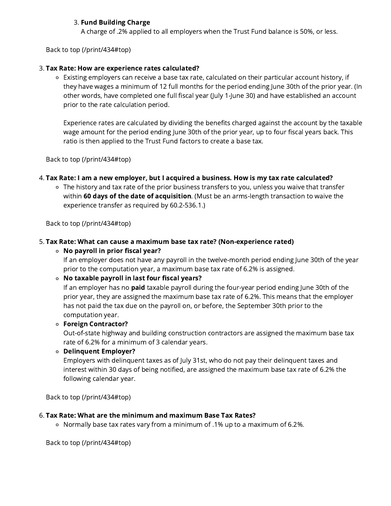# 3. Fund Building Charge

A charge of .2% applied to all employers when the Trust Fund balance is 50%, or less.

Back to top [\(/print/434#top\)](https://www.vec.virginia.gov/print/434#top)

# 3. Tax Rate: How are experience rates calculated?

Existing employers can receive a base tax rate, calculated on their particular account history, if they have wages a minimum of 12 full months for the period ending June 30th of the prior year. (In other words, have completed one full fiscal year (July 1-June 30) and have established an account prior to the rate calculation period.

Experience rates are calculated by dividing the benefits charged against the account by the taxable wage amount for the period ending June 30th of the prior year, up to four fiscal years back. This ratio is then applied to the Trust Fund factors to create a base tax.

Back to top [\(/print/434#top\)](https://www.vec.virginia.gov/print/434#top)

# 4. Tax Rate: I am a new employer, but I acquired a business. How is my tax rate calculated?

The history and tax rate of the prior business transfers to you, unless you waive that transfer within 60 days of the date of acquisition. (Must be an arms-length transaction to waive the experience transfer as required by 60.2-536.1.)

Back to top [\(/print/434#top\)](https://www.vec.virginia.gov/print/434#top)

# 5. Tax Rate: What can cause a maximum base tax rate? (Non-experience rated)

### $\circ$  No payroll in prior fiscal year?

If an employer does not have any payroll in the twelve-month period ending June 30th of the year prior to the computation year, a maximum base tax rate of 6.2% is assigned.

#### No taxable payroll in last four fiscal years?

If an employer has no **paid** taxable payroll during the four-year period ending June 30th of the prior year, they are assigned the maximum base tax rate of 6.2%. This means that the employer has not paid the tax due on the payroll on, or before, the September 30th prior to the computation year.

#### Foreign Contractor?

Out-of-state highway and building construction contractors are assigned the maximum base tax rate of 6.2% for a minimum of 3 calendar years.

# Delinquent Employer?

Employers with delinquent taxes as of July 31st, who do not pay their delinquent taxes and interest within 30 days of being notified, are assigned the maximum base tax rate of 6.2% the following calendar year.

Back to top [\(/print/434#top\)](https://www.vec.virginia.gov/print/434#top)

#### 6. Tax Rate: What are the minimum and maximum Base Tax Rates?

Normally base tax rates vary from a minimum of .1% up to a maximum of 6.2%.

Back to top [\(/print/434#top\)](https://www.vec.virginia.gov/print/434#top)